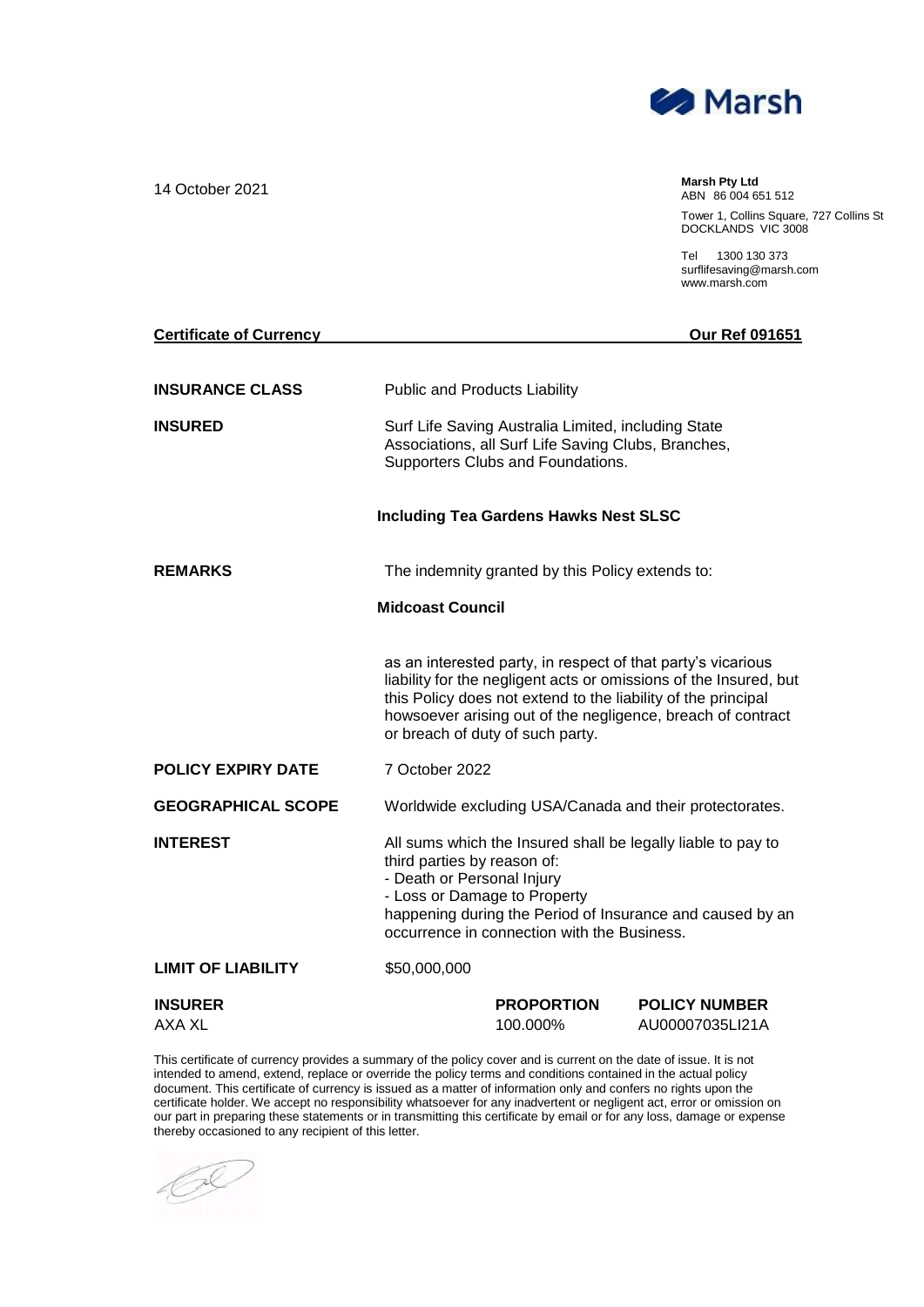

14 October 2021 **Marsh Pty Ltd** ABN 86 004 651 512 Tower 1, Collins Square, 727 Collins St DOCKLANDS VIC 3008

> Tel 1300 130 373 [surflifesaving@marsh.com](mailto:surflifesaving@marsh.com) [www.marsh.com](http://www.marsh.com/)

| <b>Certificate of Currency</b> |                                                                                                                                                                                                                                                                                                       |                                                                                                                                                                                                                                                                       | Our Ref 091651                          |  |
|--------------------------------|-------------------------------------------------------------------------------------------------------------------------------------------------------------------------------------------------------------------------------------------------------------------------------------------------------|-----------------------------------------------------------------------------------------------------------------------------------------------------------------------------------------------------------------------------------------------------------------------|-----------------------------------------|--|
| <b>INSURANCE CLASS</b>         |                                                                                                                                                                                                                                                                                                       | <b>Public and Products Liability</b>                                                                                                                                                                                                                                  |                                         |  |
| <b>INSURED</b>                 | Surf Life Saving Australia Limited, including State<br>Associations, all Surf Life Saving Clubs, Branches,<br>Supporters Clubs and Foundations.                                                                                                                                                       |                                                                                                                                                                                                                                                                       |                                         |  |
|                                |                                                                                                                                                                                                                                                                                                       | <b>Including Tea Gardens Hawks Nest SLSC</b>                                                                                                                                                                                                                          |                                         |  |
| <b>REMARKS</b>                 |                                                                                                                                                                                                                                                                                                       | The indemnity granted by this Policy extends to:                                                                                                                                                                                                                      |                                         |  |
|                                | <b>Midcoast Council</b>                                                                                                                                                                                                                                                                               |                                                                                                                                                                                                                                                                       |                                         |  |
|                                | as an interested party, in respect of that party's vicarious<br>liability for the negligent acts or omissions of the Insured, but<br>this Policy does not extend to the liability of the principal<br>howsoever arising out of the negligence, breach of contract<br>or breach of duty of such party. |                                                                                                                                                                                                                                                                       |                                         |  |
| <b>POLICY EXPIRY DATE</b>      | 7 October 2022                                                                                                                                                                                                                                                                                        |                                                                                                                                                                                                                                                                       |                                         |  |
| <b>GEOGRAPHICAL SCOPE</b>      |                                                                                                                                                                                                                                                                                                       | Worldwide excluding USA/Canada and their protectorates.                                                                                                                                                                                                               |                                         |  |
| <b>INTEREST</b>                |                                                                                                                                                                                                                                                                                                       | All sums which the Insured shall be legally liable to pay to<br>third parties by reason of:<br>- Death or Personal Injury<br>- Loss or Damage to Property<br>happening during the Period of Insurance and caused by an<br>occurrence in connection with the Business. |                                         |  |
| <b>LIMIT OF LIABILITY</b>      | \$50,000,000                                                                                                                                                                                                                                                                                          |                                                                                                                                                                                                                                                                       |                                         |  |
| <b>INSURER</b><br>AXA XL       |                                                                                                                                                                                                                                                                                                       | <b>PROPORTION</b><br>100.000%                                                                                                                                                                                                                                         | <b>POLICY NUMBER</b><br>AU00007035LI21A |  |

This certificate of currency provides a summary of the policy cover and is current on the date of issue. It is not intended to amend, extend, replace or override the policy terms and conditions contained in the actual policy document. This certificate of currency is issued as a matter of information only and confers no rights upon the certificate holder. We accept no responsibility whatsoever for any inadvertent or negligent act, error or omission on our part in preparing these statements or in transmitting this certificate by email or for any loss, damage or expense thereby occasioned to any recipient of this letter.

 $\mathscr{O}$